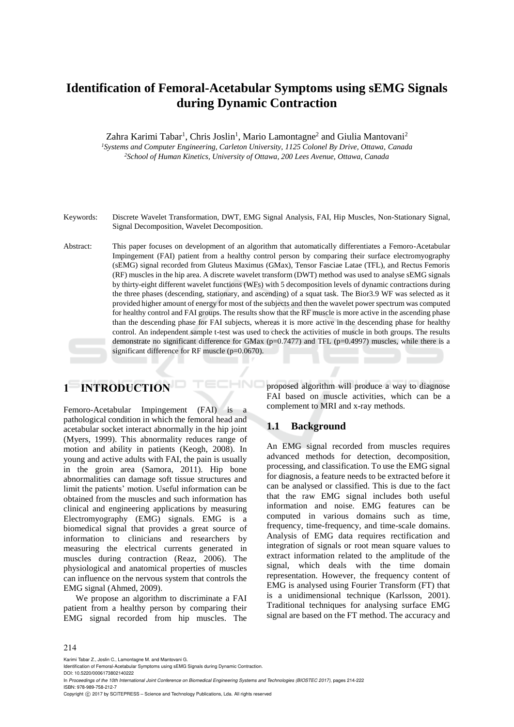# **Identification of Femoral-Acetabular Symptoms using sEMG Signals during Dynamic Contraction**

Zahra Karimi Tabar<sup>1</sup>, Chris Joslin<sup>1</sup>, Mario Lamontagne<sup>2</sup> and Giulia Mantovani<sup>2</sup>

*<sup>1</sup>Systems and Computer Engineering, Carleton University, 1125 Colonel By Drive, Ottawa, Canada <sup>2</sup>School of Human Kinetics, University of Ottawa, 200 Lees Avenue, Ottawa, Canada* 

Keywords: Discrete Wavelet Transformation, DWT, EMG Signal Analysis, FAI, Hip Muscles, Non-Stationary Signal, Signal Decomposition, Wavelet Decomposition.

Abstract: This paper focuses on development of an algorithm that automatically differentiates a Femoro-Acetabular Impingement (FAI) patient from a healthy control person by comparing their surface electromyography (sEMG) signal recorded from Gluteus Maximus (GMax), Tensor Fasciae Latae (TFL), and Rectus Femoris (RF) muscles in the hip area. A discrete wavelet transform (DWT) method was used to analyse sEMG signals by thirty-eight different wavelet functions (WFs) with 5 decomposition levels of dynamic contractions during the three phases (descending, stationary, and ascending) of a squat task. The Bior3.9 WF was selected as it provided higher amount of energy for most of the subjects and then the wavelet power spectrum was computed for healthy control and FAI groups. The results show that the RF muscle is more active in the ascending phase than the descending phase for FAI subjects, whereas it is more active in the descending phase for healthy control. An independent sample t-test was used to check the activities of muscle in both groups. The results demonstrate no significant difference for GMax ( $p=0.7477$ ) and TFL ( $p=0.4997$ ) muscles, while there is a significant difference for RF muscle (p=0.0670).

HNC

# **1 INTRODUCTION**

Femoro-Acetabular Impingement (FAI) is a pathological condition in which the femoral head and acetabular socket interact abnormally in the hip joint (Myers, 1999). This abnormality reduces range of motion and ability in patients (Keogh, 2008). In young and active adults with FAI, the pain is usually in the groin area (Samora, 2011). Hip bone abnormalities can damage soft tissue structures and limit the patients' motion. Useful information can be obtained from the muscles and such information has clinical and engineering applications by measuring Electromyography (EMG) signals. EMG is a biomedical signal that provides a great source of information to clinicians and researchers by measuring the electrical currents generated in muscles during contraction (Reaz, 2006). The physiological and anatomical properties of muscles can influence on the nervous system that controls the EMG signal (Ahmed, 2009).

We propose an algorithm to discriminate a FAI patient from a healthy person by comparing their EMG signal recorded from hip muscles. The proposed algorithm will produce a way to diagnose FAI based on muscle activities, which can be a complement to MRI and x-ray methods.

### **1.1 Background**

An EMG signal recorded from muscles requires advanced methods for detection, decomposition, processing, and classification. To use the EMG signal for diagnosis, a feature needs to be extracted before it can be analysed or classified. This is due to the fact that the raw EMG signal includes both useful information and noise. EMG features can be computed in various domains such as time, frequency, time-frequency, and time-scale domains. Analysis of EMG data requires rectification and integration of signals or root mean square values to extract information related to the amplitude of the signal, which deals with the time domain representation. However, the frequency content of EMG is analysed using Fourier Transform (FT) that is a unidimensional technique (Karlsson, 2001). Traditional techniques for analysing surface EMG signal are based on the FT method. The accuracy and

Karimi Tabar Z., Joslin C., Lamontagne M. and Mantovani G.

Copyright (C) 2017 by SCITEPRESS - Science and Technology Publications, Lda. All rights reserved

Identification of Femoral-Acetabular Symptoms using sEMG Signals during Dynamic Contraction.

DOI: 10.5220/0006173802140222

In *Proceedings of the 10th International Joint Conference on Biomedical Engineering Systems and Technologies (BIOSTEC 2017)*, pages 214-222 ISBN: 978-989-758-212-7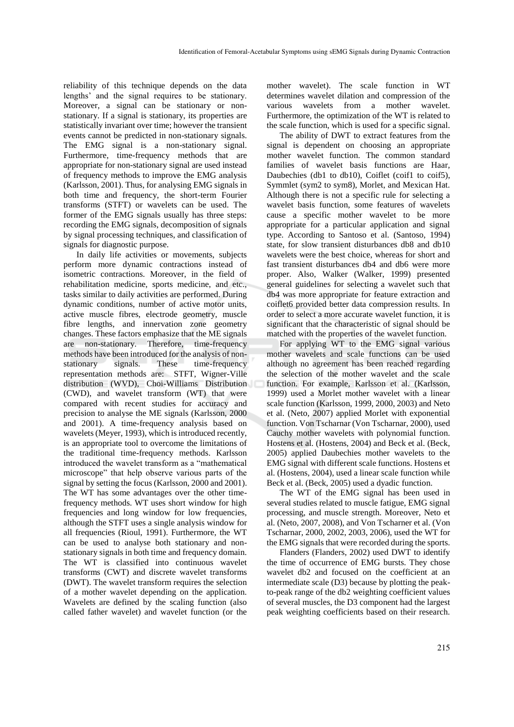reliability of this technique depends on the data lengths' and the signal requires to be stationary. Moreover, a signal can be stationary or nonstationary. If a signal is stationary, its properties are statistically invariant over time; however the transient events cannot be predicted in non-stationary signals. The EMG signal is a non-stationary signal. Furthermore, time-frequency methods that are appropriate for non-stationary signal are used instead of frequency methods to improve the EMG analysis (Karlsson, 2001). Thus, for analysing EMG signals in both time and frequency, the short-term Fourier transforms (STFT) or wavelets can be used. The former of the EMG signals usually has three steps: recording the EMG signals, decomposition of signals by signal processing techniques, and classification of signals for diagnostic purpose.

In daily life activities or movements, subjects perform more dynamic contractions instead of isometric contractions. Moreover, in the field of rehabilitation medicine, sports medicine, and etc., tasks similar to daily activities are performed. During dynamic conditions, number of active motor units, active muscle fibres, electrode geometry, muscle fibre lengths, and innervation zone geometry changes. These factors emphasize that the ME signals are non-stationary. Therefore, time-frequency methods have been introduced for the analysis of nonstationary signals. These time-frequency representation methods are: STFT, Wigner-Ville distribution (WVD), Choi-Williams Distribution (CWD), and wavelet transform (WT) that were compared with recent studies for accuracy and precision to analyse the ME signals (Karlsson, 2000 and 2001). A time-frequency analysis based on wavelets (Meyer, 1993), which is introduced recently, is an appropriate tool to overcome the limitations of the traditional time-frequency methods. Karlsson introduced the wavelet transform as a "mathematical microscope" that help observe various parts of the signal by setting the focus (Karlsson, 2000 and 2001). The WT has some advantages over the other timefrequency methods. WT uses short window for high frequencies and long window for low frequencies, although the STFT uses a single analysis window for all frequencies (Rioul, 1991). Furthermore, the WT can be used to analyse both stationary and nonstationary signals in both time and frequency domain. The WT is classified into continuous wavelet transforms (CWT) and discrete wavelet transforms (DWT). The wavelet transform requires the selection of a mother wavelet depending on the application. Wavelets are defined by the scaling function (also called father wavelet) and wavelet function (or the

mother wavelet). The scale function in WT determines wavelet dilation and compression of the various wavelets from a mother wavelet. Furthermore, the optimization of the WT is related to the scale function, which is used for a specific signal.

The ability of DWT to extract features from the signal is dependent on choosing an appropriate mother wavelet function. The common standard families of wavelet basis functions are Haar, Daubechies (db1 to db10), Coiflet (coif1 to coif5), Symmlet (sym2 to sym8), Morlet, and Mexican Hat. Although there is not a specific rule for selecting a wavelet basis function, some features of wavelets cause a specific mother wavelet to be more appropriate for a particular application and signal type. According to Santoso et al. (Santoso, 1994) state, for slow transient disturbances db8 and db10 wavelets were the best choice, whereas for short and fast transient disturbances db4 and db6 were more proper. Also, Walker (Walker, 1999) presented general guidelines for selecting a wavelet such that db4 was more appropriate for feature extraction and coiflet6 provided better data compression results. In order to select a more accurate wavelet function, it is significant that the characteristic of signal should be matched with the properties of the wavelet function.

For applying WT to the EMG signal various mother wavelets and scale functions can be used although no agreement has been reached regarding the selection of the mother wavelet and the scale function. For example, Karlsson et al. (Karlsson, 1999) used a Morlet mother wavelet with a linear scale function (Karlsson, 1999, 2000, 2003) and Neto et al. (Neto, 2007) applied Morlet with exponential function. Von Tscharnar (Von Tscharnar, 2000), used Cauchy mother wavelets with polynomial function. Hostens et al. (Hostens, 2004) and Beck et al. (Beck, 2005) applied Daubechies mother wavelets to the EMG signal with different scale functions. Hostens et al. (Hostens, 2004), used a linear scale function while Beck et al. (Beck, 2005) used a dyadic function.

The WT of the EMG signal has been used in several studies related to muscle fatigue, EMG signal processing, and muscle strength. Moreover, Neto et al. (Neto, 2007, 2008), and Von Tscharner et al. (Von Tscharnar, 2000, 2002, 2003, 2006), used the WT for the EMG signals that were recorded during the sports.

Flanders (Flanders, 2002) used DWT to identify the time of occurrence of EMG bursts. They chose wavelet db2 and focused on the coefficient at an intermediate scale (D3) because by plotting the peakto-peak range of the db2 weighting coefficient values of several muscles, the D3 component had the largest peak weighting coefficients based on their research.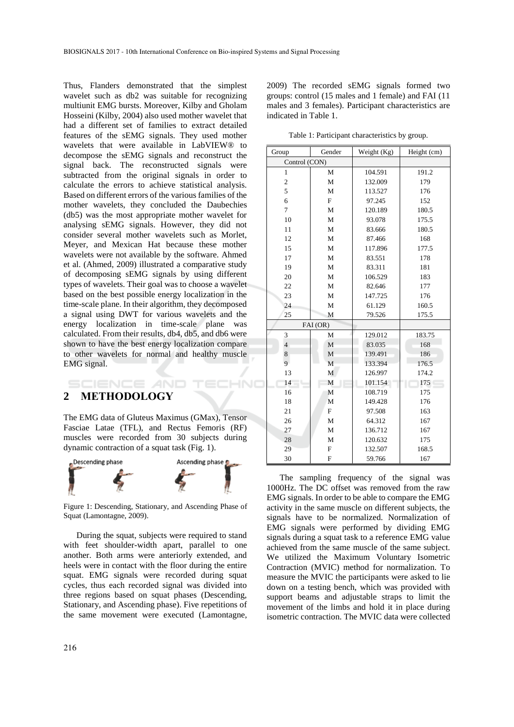Thus, Flanders demonstrated that the simplest wavelet such as db2 was suitable for recognizing multiunit EMG bursts. Moreover, Kilby and Gholam Hosseini (Kilby, 2004) also used mother wavelet that had a different set of families to extract detailed features of the sEMG signals. They used mother wavelets that were available in LabVIEW® to decompose the sEMG signals and reconstruct the signal back. The reconstructed signals were subtracted from the original signals in order to calculate the errors to achieve statistical analysis. Based on different errors of the various families of the mother wavelets, they concluded the Daubechies (db5) was the most appropriate mother wavelet for analysing sEMG signals. However, they did not consider several mother wavelets such as Morlet, Meyer, and Mexican Hat because these mother wavelets were not available by the software. Ahmed et al. (Ahmed, 2009) illustrated a comparative study of decomposing sEMG signals by using different types of wavelets. Their goal was to choose a wavelet based on the best possible energy localization in the time-scale plane. In their algorithm, they decomposed a signal using DWT for various wavelets and the energy localization in time-scale plane was calculated. From their results, db4, db5, and db6 were shown to have the best energy localization compare to other wavelets for normal and healthy muscle EMG signal.

# **2 METHODOLOGY**

**IENCE** *A***ND** 

The EMG data of Gluteus Maximus (GMax), Tensor Fasciae Latae (TFL), and Rectus Femoris (RF) muscles were recorded from 30 subjects during dynamic contraction of a squat task (Fig. 1).

HNO



Figure 1: Descending, Stationary, and Ascending Phase of Squat (Lamontagne, 2009).

During the squat, subjects were required to stand with feet shoulder-width apart, parallel to one another. Both arms were anteriorly extended, and heels were in contact with the floor during the entire squat. EMG signals were recorded during squat cycles, thus each recorded signal was divided into three regions based on squat phases (Descending, Stationary, and Ascending phase). Five repetitions of the same movement were executed (Lamontagne, 2009) The recorded sEMG signals formed two groups: control (15 males and 1 female) and FAI (11 males and 3 females). Participant characteristics are indicated in Table 1.

Table 1: Participant characteristics by group.

| Group          | Gender       | Weight (Kg)    | Height (cm) |  |
|----------------|--------------|----------------|-------------|--|
| Control (CON)  |              |                |             |  |
| $\mathbf{1}$   | M            | 104.591        | 191.2       |  |
| $\overline{c}$ | M            | 132.009        | 179         |  |
| 5              | M            | 113.527        | 176         |  |
| 6              | $\mathbf{F}$ | 97.245         | 152         |  |
| 7              | M            | 120.189        | 180.5       |  |
| 10             | M            | 93.078         | 175.5       |  |
| 11             | M            | 83.666         | 180.5       |  |
| 12             | M            | 87.466         | 168         |  |
| 15             | M            | 117.896        | 177.5       |  |
| 17             | M            | 83.551         | 178         |  |
| 19             | M            | 83.311         | 181         |  |
| 20             | M            | 106.529        | 183         |  |
| 22             | M            | 82.646         | 177         |  |
| 23             | M            | 147.725        | 176         |  |
| 24             | M            | 61.129         | 160.5       |  |
| 25             | M            | 79.526         | 175.5       |  |
|                | FAI (OR)     |                |             |  |
| 3              | M            | 129.012        | 183.75      |  |
| $\overline{4}$ | M            | 83.035         | 168         |  |
| 8              | M            | 139.491        | 186         |  |
| 9              | M            | 133.394        | 176.5       |  |
| 13             | M            | 126.997        | 174.2       |  |
| 14             | M            | 101.154        | 175         |  |
| 16             | M            | 108.719        | 175         |  |
| 18             | M            | 149.428        | 176         |  |
| 21             | F            | 97.508<br>163  |             |  |
| 26             | M            | 64.312<br>167  |             |  |
| 27             | M            | 136.712<br>167 |             |  |
| 28             | M            | 120.632        | 175         |  |
| 29             | $\mathbf F$  | 132.507        | 168.5       |  |
| 30             | F            | 59.766         | 167         |  |

The sampling frequency of the signal was 1000Hz. The DC offset was removed from the raw EMG signals. In order to be able to compare the EMG activity in the same muscle on different subjects, the signals have to be normalized. Normalization of EMG signals were performed by dividing EMG signals during a squat task to a reference EMG value achieved from the same muscle of the same subject. We utilized the Maximum Voluntary Isometric Contraction (MVIC) method for normalization. To measure the MVIC the participants were asked to lie down on a testing bench, which was provided with support beams and adjustable straps to limit the movement of the limbs and hold it in place during isometric contraction. The MVIC data were collected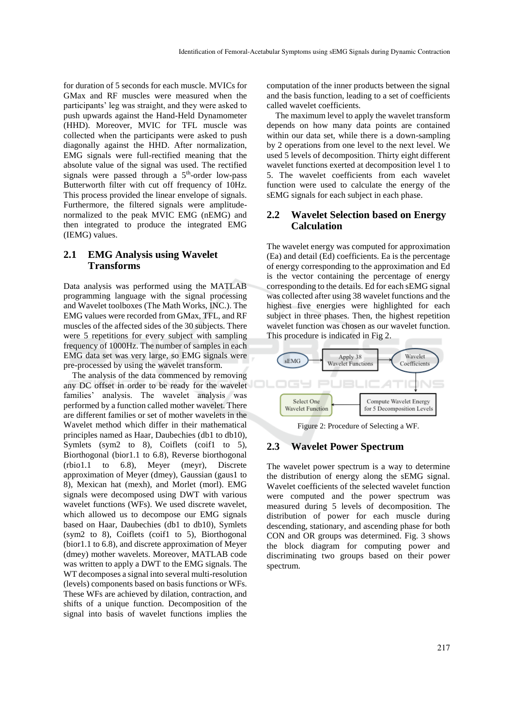for duration of 5 seconds for each muscle. MVICs for GMax and RF muscles were measured when the participants' leg was straight, and they were asked to push upwards against the Hand-Held Dynamometer (HHD). Moreover, MVIC for TFL muscle was collected when the participants were asked to push diagonally against the HHD. After normalization, EMG signals were full-rectified meaning that the absolute value of the signal was used. The rectified signals were passed through a  $5<sup>th</sup>$ -order low-pass Butterworth filter with cut off frequency of 10Hz. This process provided the linear envelope of signals. Furthermore, the filtered signals were amplitudenormalized to the peak MVIC EMG (nEMG) and then integrated to produce the integrated EMG (IEMG) values.

### **2.1 EMG Analysis using Wavelet Transforms**

Data analysis was performed using the MATLAB programming language with the signal processing and Wavelet toolboxes (The Math Works, INC.). The EMG values were recorded from GMax, TFL, and RF muscles of the affected sides of the 30 subjects. There were 5 repetitions for every subject with sampling frequency of 1000Hz. The number of samples in each EMG data set was very large, so EMG signals were pre-processed by using the wavelet transform.

The analysis of the data commenced by removing any DC offset in order to be ready for the wavelet families' analysis. The wavelet analysis was performed by a function called mother wavelet. There are different families or set of mother wavelets in the Wavelet method which differ in their mathematical principles named as Haar, Daubechies (db1 to db10), Symlets (sym2 to 8), Coiflets (coif1 to 5), Biorthogonal (bior1.1 to 6.8), Reverse biorthogonal (rbio1.1 to 6.8), Meyer (meyr), Discrete approximation of Meyer (dmey), Gaussian (gaus1 to 8), Mexican hat (mexh), and Morlet (morl). EMG signals were decomposed using DWT with various wavelet functions (WFs). We used discrete wavelet, which allowed us to decompose our EMG signals based on Haar, Daubechies (db1 to db10), Symlets (sym2 to 8), Coiflets (coif1 to 5), Biorthogonal (bior1.1 to 6.8), and discrete approximation of Meyer (dmey) mother wavelets. Moreover, MATLAB code was written to apply a DWT to the EMG signals. The WT decomposes a signal into several multi-resolution (levels) components based on basis functions or WFs. These WFs are achieved by dilation, contraction, and shifts of a unique function. Decomposition of the signal into basis of wavelet functions implies the

computation of the inner products between the signal and the basis function, leading to a set of coefficients called wavelet coefficients.

The maximum level to apply the wavelet transform depends on how many data points are contained within our data set, while there is a down-sampling by 2 operations from one level to the next level. We used 5 levels of decomposition. Thirty eight different wavelet functions exerted at decomposition level 1 to 5. The wavelet coefficients from each wavelet function were used to calculate the energy of the sEMG signals for each subject in each phase.

### **2.2 Wavelet Selection based on Energy Calculation**

The wavelet energy was computed for approximation (Ea) and detail (Ed) coefficients. Ea is the percentage of energy corresponding to the approximation and Ed is the vector containing the percentage of energy corresponding to the details. Ed for each sEMG signal was collected after using 38 wavelet functions and the highest five energies were highlighted for each subject in three phases. Then, the highest repetition wavelet function was chosen as our wavelet function. This procedure is indicated in Fig 2.



Figure 2: Procedure of Selecting a WF.

#### **2.3 Wavelet Power Spectrum**

The wavelet power spectrum is a way to determine the distribution of energy along the sEMG signal. Wavelet coefficients of the selected wavelet function were computed and the power spectrum was measured during 5 levels of decomposition. The distribution of power for each muscle during descending, stationary, and ascending phase for both CON and OR groups was determined. Fig. 3 shows the block diagram for computing power and discriminating two groups based on their power spectrum.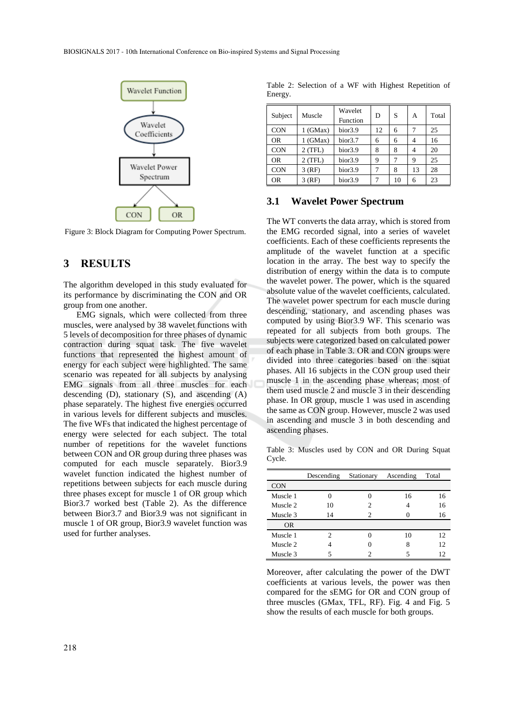

Figure 3: Block Diagram for Computing Power Spectrum.

### **3 RESULTS**

The algorithm developed in this study evaluated for its performance by discriminating the CON and OR group from one another.

EMG signals, which were collected from three muscles, were analysed by 38 wavelet functions with 5 levels of decomposition for three phases of dynamic contraction during squat task. The five wavelet functions that represented the highest amount of energy for each subject were highlighted. The same scenario was repeated for all subjects by analysing EMG signals from all three muscles for each descending (D), stationary (S), and ascending (A) phase separately. The highest five energies occurred in various levels for different subjects and muscles. The five WFs that indicated the highest percentage of energy were selected for each subject. The total number of repetitions for the wavelet functions between CON and OR group during three phases was computed for each muscle separately. Bior3.9 wavelet function indicated the highest number of repetitions between subjects for each muscle during three phases except for muscle 1 of OR group which Bior3.7 worked best (Table 2). As the difference between Bior3.7 and Bior3.9 was not significant in muscle 1 of OR group, Bior3.9 wavelet function was used for further analyses.

Table 2: Selection of a WF with Highest Repetition of Energy.

| Subject    | Muscle     | Wavelet<br>Function | D  | S  | А  | Total |
|------------|------------|---------------------|----|----|----|-------|
| <b>CON</b> | $1$ (GMax) | bior <sub>3.9</sub> | 12 | 6  |    | 25    |
| <b>OR</b>  | $1$ (GMax) | bior <sub>3.7</sub> | 6  | 6  | 4  | 16    |
| <b>CON</b> | 2 (TFL)    | bior <sub>3.9</sub> | 8  | 8  | 4  | 20    |
| <b>OR</b>  | $2$ (TFL)  | bior <sub>3.9</sub> | 9  |    | 9  | 25    |
| <b>CON</b> | $3$ (RF)   | bior <sub>3.9</sub> |    | 8  | 13 | 28    |
| <b>OR</b>  | 3 (RF)     | bior <sub>3.9</sub> |    | 10 | 6  | 23    |

#### **3.1 Wavelet Power Spectrum**

The WT converts the data array, which is stored from the EMG recorded signal, into a series of wavelet coefficients. Each of these coefficients represents the amplitude of the wavelet function at a specific location in the array. The best way to specify the distribution of energy within the data is to compute the wavelet power. The power, which is the squared absolute value of the wavelet coefficients, calculated. The wavelet power spectrum for each muscle during descending, stationary, and ascending phases was computed by using Bior3.9 WF. This scenario was repeated for all subjects from both groups. The subjects were categorized based on calculated power of each phase in Table 3. OR and CON groups were divided into three categories based on the squat phases. All 16 subjects in the CON group used their muscle 1 in the ascending phase whereas; most of them used muscle 2 and muscle 3 in their descending phase. In OR group, muscle 1 was used in ascending the same as CON group. However, muscle 2 was used in ascending and muscle 3 in both descending and ascending phases.

Table 3: Muscles used by CON and OR During Squat Cycle.

|            | Descending | Stationary | Ascending | Total |
|------------|------------|------------|-----------|-------|
| <b>CON</b> |            |            |           |       |
| Muscle 1   |            | 0          | 16        | 16    |
| Muscle 2   | 10         | 2          | 4         | 16    |
| Muscle 3   | 14         | 2          |           | 16    |
| <b>OR</b>  |            |            |           |       |
| Muscle 1   | 2          |            | 10        | 12    |
| Muscle 2   |            |            | 8         | 12    |
| Muscle 3   |            | 2          |           | 12    |

Moreover, after calculating the power of the DWT coefficients at various levels, the power was then compared for the sEMG for OR and CON group of three muscles (GMax, TFL, RF). Fig. 4 and Fig. 5 show the results of each muscle for both groups.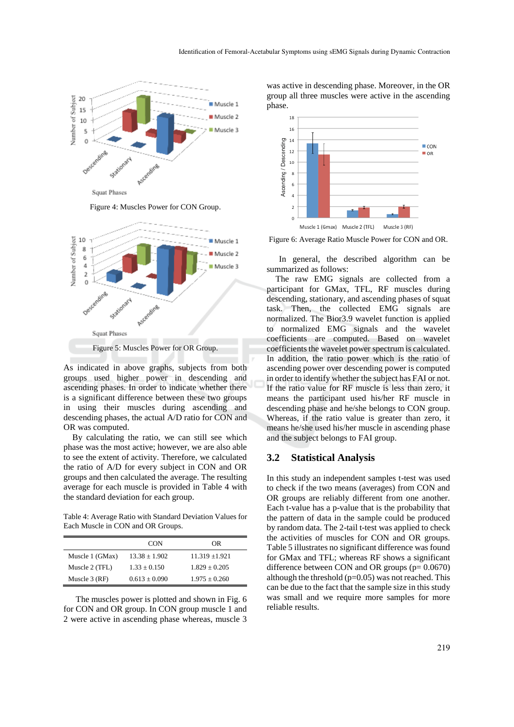

Figure 4: Muscles Power for CON Group.



As indicated in above graphs, subjects from both groups used higher power in descending and ascending phases. In order to indicate whether there is a significant difference between these two groups in using their muscles during ascending and descending phases, the actual A/D ratio for CON and OR was computed.

By calculating the ratio, we can still see which phase was the most active; however, we are also able to see the extent of activity. Therefore, we calculated the ratio of A/D for every subject in CON and OR groups and then calculated the average. The resulting average for each muscle is provided in Table 4 with the standard deviation for each group.

Table 4: Average Ratio with Standard Deviation Values for Each Muscle in CON and OR Groups.

|                 | <b>CON</b>        | OR                 |
|-----------------|-------------------|--------------------|
| Muscle 1 (GMax) | $13.38 \pm 1.902$ | $11.319 \pm 1.921$ |
| Muscle 2 (TFL)  | $1.33 + 0.150$    | $1.829 + 0.205$    |
| Muscle $3$ (RF) | $0.613 + 0.090$   | $1.975 + 0.260$    |

The muscles power is plotted and shown in Fig. 6 for CON and OR group. In CON group muscle 1 and 2 were active in ascending phase whereas, muscle 3

was active in descending phase. Moreover, in the OR group all three muscles were active in the ascending phase.



Figure 6: Average Ratio Muscle Power for CON and OR.

In general, the described algorithm can be summarized as follows:

The raw EMG signals are collected from a participant for GMax, TFL, RF muscles during descending, stationary, and ascending phases of squat task. Then, the collected EMG signals are normalized. The Bior3.9 wavelet function is applied to normalized EMG signals and the wavelet coefficients are computed. Based on wavelet coefficients the wavelet power spectrum is calculated. In addition, the ratio power which is the ratio of ascending power over descending power is computed in order to identify whether the subject has FAI or not. If the ratio value for RF muscle is less than zero, it means the participant used his/her RF muscle in descending phase and he/she belongs to CON group. Whereas, if the ratio value is greater than zero, it means he/she used his/her muscle in ascending phase and the subject belongs to FAI group.

#### **3.2 Statistical Analysis**

In this study an independent samples t-test was used to check if the two means (averages) from CON and OR groups are reliably different from one another. Each t-value has a p-value that is the probability that the pattern of data in the sample could be produced by random data. The 2-tail t-test was applied to check the activities of muscles for CON and OR groups. Table 5 illustrates no significant difference was found for GMax and TFL; whereas RF shows a significant difference between CON and OR groups  $(p= 0.0670)$ although the threshold  $(p=0.05)$  was not reached. This can be due to the fact that the sample size in this study was small and we require more samples for more reliable results.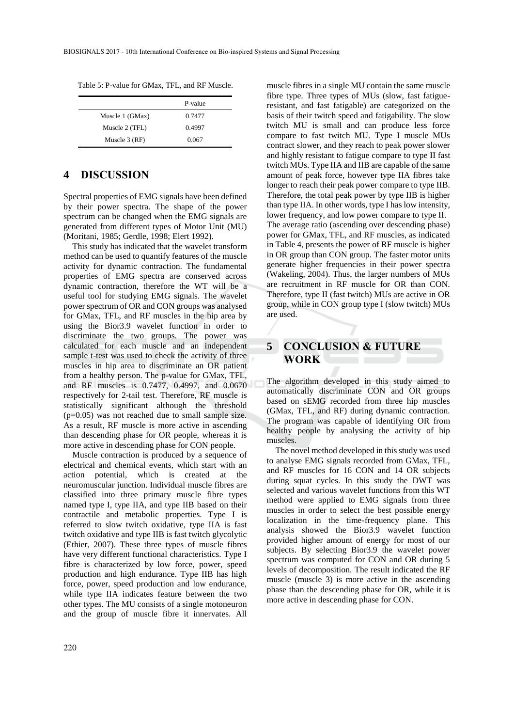|                 | P-value |
|-----------------|---------|
| Muscle 1 (GMax) | 0.7477  |
| Muscle 2 (TFL)  | 0.4997  |
| Muscle $3$ (RF) | 0.067   |

### **4 DISCUSSION**

Spectral properties of EMG signals have been defined by their power spectra. The shape of the power spectrum can be changed when the EMG signals are generated from different types of Motor Unit (MU) (Moritani, 1985; Gerdle, 1998; Elert 1992).

This study has indicated that the wavelet transform method can be used to quantify features of the muscle activity for dynamic contraction. The fundamental properties of EMG spectra are conserved across dynamic contraction, therefore the WT will be a useful tool for studying EMG signals. The wavelet power spectrum of OR and CON groups was analysed for GMax, TFL, and RF muscles in the hip area by using the Bior3.9 wavelet function in order to discriminate the two groups. The power was calculated for each muscle and an independent sample t-test was used to check the activity of three muscles in hip area to discriminate an OR patient from a healthy person. The p-value for GMax, TFL, and RF muscles is 0.7477, 0.4997, and 0.0670 respectively for 2-tail test. Therefore, RF muscle is statistically significant although the threshold (p=0.05) was not reached due to small sample size. As a result, RF muscle is more active in ascending than descending phase for OR people, whereas it is more active in descending phase for CON people.

Muscle contraction is produced by a sequence of electrical and chemical events, which start with an action potential, which is created at the neuromuscular junction. Individual muscle fibres are classified into three primary muscle fibre types named type I, type IIA, and type IIB based on their contractile and metabolic properties. Type I is referred to slow twitch oxidative, type IIA is fast twitch oxidative and type IIB is fast twitch glycolytic (Ethier, 2007). These three types of muscle fibres have very different functional characteristics. Type I fibre is characterized by low force, power, speed production and high endurance. Type IIB has high force, power, speed production and low endurance, while type IIA indicates feature between the two other types. The MU consists of a single motoneuron and the group of muscle fibre it innervates. All

muscle fibres in a single MU contain the same muscle fibre type. Three types of MUs (slow, fast fatigueresistant, and fast fatigable) are categorized on the basis of their twitch speed and fatigability. The slow twitch MU is small and can produce less force compare to fast twitch MU. Type I muscle MUs contract slower, and they reach to peak power slower and highly resistant to fatigue compare to type II fast twitch MUs. Type IIA and IIB are capable of the same amount of peak force, however type IIA fibres take longer to reach their peak power compare to type IIB. Therefore, the total peak power by type IIB is higher than type IIA. In other words, type I has low intensity, lower frequency, and low power compare to type II. The average ratio (ascending over descending phase) power for GMax, TFL, and RF muscles, as indicated in Table 4, presents the power of RF muscle is higher in OR group than CON group. The faster motor units generate higher frequencies in their power spectra (Wakeling, 2004). Thus, the larger numbers of MUs are recruitment in RF muscle for OR than CON. Therefore, type II (fast twitch) MUs are active in OR group, while in CON group type I (slow twitch) MUs are used.

## **5 CONCLUSION & FUTURE WORK**

The algorithm developed in this study aimed to automatically discriminate CON and OR groups based on sEMG recorded from three hip muscles (GMax, TFL, and RF) during dynamic contraction. The program was capable of identifying OR from healthy people by analysing the activity of hip muscles.

The novel method developed in this study was used to analyse EMG signals recorded from GMax, TFL, and RF muscles for 16 CON and 14 OR subjects during squat cycles. In this study the DWT was selected and various wavelet functions from this WT method were applied to EMG signals from three muscles in order to select the best possible energy localization in the time-frequency plane. This analysis showed the Bior3.9 wavelet function provided higher amount of energy for most of our subjects. By selecting Bior3.9 the wavelet power spectrum was computed for CON and OR during 5 levels of decomposition. The result indicated the RF muscle (muscle 3) is more active in the ascending phase than the descending phase for OR, while it is more active in descending phase for CON.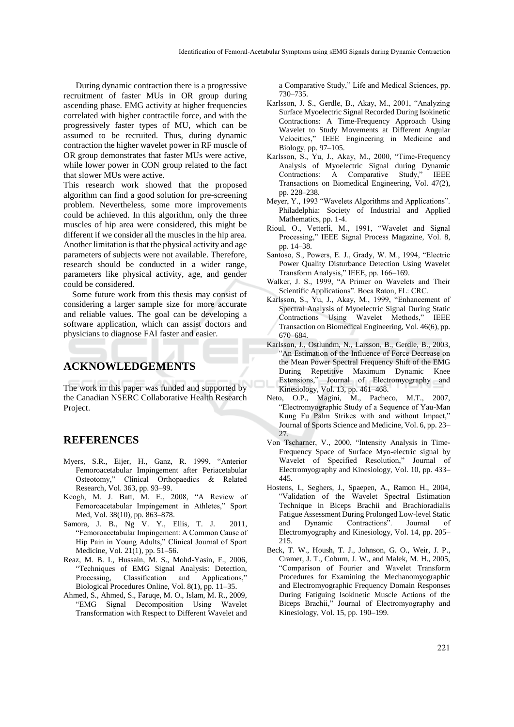During dynamic contraction there is a progressive recruitment of faster MUs in OR group during ascending phase. EMG activity at higher frequencies correlated with higher contractile force, and with the progressively faster types of MU, which can be assumed to be recruited. Thus, during dynamic contraction the higher wavelet power in RF muscle of OR group demonstrates that faster MUs were active, while lower power in CON group related to the fact that slower MUs were active.

This research work showed that the proposed algorithm can find a good solution for pre-screening problem. Nevertheless, some more improvements could be achieved. In this algorithm, only the three muscles of hip area were considered, this might be different if we consider all the muscles in the hip area. Another limitation is that the physical activity and age parameters of subjects were not available. Therefore, research should be conducted in a wider range, parameters like physical activity, age, and gender could be considered.

Some future work from this thesis may consist of considering a larger sample size for more accurate and reliable values. The goal can be developing a software application, which can assist doctors and physicians to diagnose FAI faster and easier.

# **ACKNOWLEDGEMENTS**

The work in this paper was funded and supported by the Canadian NSERC Collaborative Health Research Project.

#### **REFERENCES**

- Myers, S.R., Eijer, H., Ganz, R. 1999, "Anterior Femoroacetabular Impingement after Periacetabular Osteotomy," Clinical Orthopaedics & Related Research, Vol. 363, pp. 93–99.
- Keogh, M. J. Batt, M. E., 2008, "A Review of Femoroacetabular Impingement in Athletes," Sport Med, Vol. 38(10), pp. 863–878.
- Samora, J. B., Ng V. Y., Ellis, T. J. 2011, "Femoroacetabular Impingement: A Common Cause of Hip Pain in Young Adults," Clinical Journal of Sport Medicine, Vol. 21(1), pp. 51–56.
- Reaz, M. B. I., Hussain, M. S., Mohd-Yasin, F., 2006, "Techniques of EMG Signal Analysis: Detection, Processing, Classification and Applications," Biological Procedures Online, Vol. 8(1), pp. 11–35.
- Ahmed, S., Ahmed, S., Faruqe, M. O., Islam, M. R., 2009, "EMG Signal Decomposition Using Wavelet Transformation with Respect to Different Wavelet and

a Comparative Study," Life and Medical Sciences, pp. 730–735.

- Karlsson, J. S., Gerdle, B., Akay, M., 2001, "Analyzing Surface Myoelectric Signal Recorded During Isokinetic Contractions: A Time-Frequency Approach Using Wavelet to Study Movements at Different Angular Velocities," IEEE Engineering in Medicine and Biology, pp. 97–105.
- Karlsson, S., Yu, J., Akay, M., 2000, "Time-Frequency Analysis of Myoelectric Signal during Dynamic Contractions: A Comparative Study," IEEE Transactions on Biomedical Engineering, Vol. 47(2), pp. 228–238.
- Meyer, Y., 1993 "Wavelets Algorithms and Applications". Philadelphia: Society of Industrial and Applied Mathematics, pp. 1-4.
- Rioul, O., Vetterli, M., 1991, "Wavelet and Signal Processing," IEEE Signal Process Magazine, Vol. 8, pp. 14–38.
- Santoso, S., Powers, E. J., Grady, W. M., 1994, "Electric Power Quality Disturbance Detection Using Wavelet Transform Analysis," IEEE, pp. 166–169.
- Walker, J. S., 1999, "A Primer on Wavelets and Their Scientific Applications". Boca Raton, FL: CRC.
- Karlsson, S., Yu, J., Akay, M., 1999, "Enhancement of Spectral Analysis of Myoelectric Signal During Static Contractions Using Wavelet Methods," IEEE Transaction on Biomedical Engineering, Vol. 46(6), pp. 670–684.
- Karlsson, J., Ostlundm, N., Larsson, B., Gerdle, B., 2003, "An Estimation of the Influence of Force Decrease on the Mean Power Spectral Frequency Shift of the EMG During Repetitive Maximum Dynamic Knee Extensions," Journal of Electromyography and Kinesiology, Vol. 13, pp. 461–468.
- Neto, O.P., Magini, M., Pacheco, M.T., 2007, "Electromyographic Study of a Sequence of Yau-Man Kung Fu Palm Strikes with and without Impact,' Journal of Sports Science and Medicine, Vol. 6, pp. 23– 27.
- Von Tscharner, V., 2000, "Intensity Analysis in Time-Frequency Space of Surface Myo-electric signal by Wavelet of Specified Resolution," Journal of Electromyography and Kinesiology, Vol. 10, pp. 433– 445.
- Hostens, I., Seghers, J., Spaepen, A., Ramon H., 2004, "Validation of the Wavelet Spectral Estimation Technique in Biceps Brachii and Brachioradialis Fatigue Assessment During Prolonged Low-level Static and Dynamic Contractions". Journal of Electromyography and Kinesiology, Vol. 14, pp. 205– 215.
- Beck, T. W., Housh, T. J., Johnson, G. O., Weir, J. P., Cramer, J. T., Coburn, J. W., and Malek, M. H., 2005, "Comparison of Fourier and Wavelet Transform Procedures for Examining the Mechanomyographic and Electromyographic Frequency Domain Responses During Fatiguing Isokinetic Muscle Actions of the Biceps Brachii," Journal of Electromyography and Kinesiology, Vol. 15, pp. 190–199.